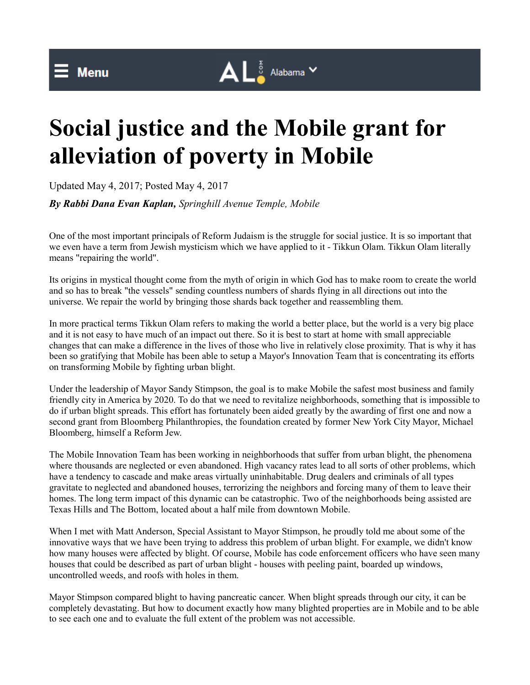

## **Social justice and the Mobile grant for alleviation of poverty in Mobile**

Updated May 4, 2017; Posted May 4, 2017

*By Rabbi Dana Evan Kaplan, Springhill Avenue Temple, Mobile*

One of the most important principals of Reform Judaism is the struggle for social justice. It is so important that we even have a term from Jewish mysticism which we have applied to it - Tikkun Olam. Tikkun Olam literally means "repairing the world".

Its origins in mystical thought come from the myth of origin in which God has to make room to create the world and so has to break "the vessels" sending countless numbers of shards flying in all directions out into the universe. We repair the world by bringing those shards back together and reassembling them.

In more practical terms Tikkun Olam refers to making the world a better place, but the world is a very big place and it is not easy to have much of an impact out there. So it is best to start at home with small appreciable changes that can make a difference in the lives of those who live in relatively close proximity. That is why it has been so gratifying that Mobile has been able to setup a Mayor's Innovation Team that is concentrating its efforts on transforming Mobile by fighting urban blight.

Under the leadership of Mayor Sandy Stimpson, the goal is to make Mobile the safest most business and family friendly city in America by 2020. To do that we need to revitalize neighborhoods, something that is impossible to do if urban blight spreads. This effort has fortunately been aided greatly by the awarding of first one and now a second grant from Bloomberg Philanthropies, the foundation created by former New York City Mayor, Michael Bloomberg, himself a Reform Jew.

The Mobile Innovation Team has been working in neighborhoods that suffer from urban blight, the phenomena where thousands are neglected or even abandoned. High vacancy rates lead to all sorts of other problems, which have a tendency to cascade and make areas virtually uninhabitable. Drug dealers and criminals of all types gravitate to neglected and abandoned houses, terrorizing the neighbors and forcing many of them to leave their homes. The long term impact of this dynamic can be catastrophic. Two of the neighborhoods being assisted are Texas Hills and The Bottom, located about a half mile from downtown Mobile.

When I met with Matt Anderson, Special Assistant to Mayor Stimpson, he proudly told me about some of the innovative ways that we have been trying to address this problem of urban blight. For example, we didn't know how many houses were affected by blight. Of course, Mobile has code enforcement officers who have seen many houses that could be described as part of urban blight - houses with peeling paint, boarded up windows, uncontrolled weeds, and roofs with holes in them.

Mayor Stimpson compared blight to having pancreatic cancer. When blight spreads through our city, it can be completely devastating. But how to document exactly how many blighted properties are in Mobile and to be able to see each one and to evaluate the full extent of the problem was not accessible.